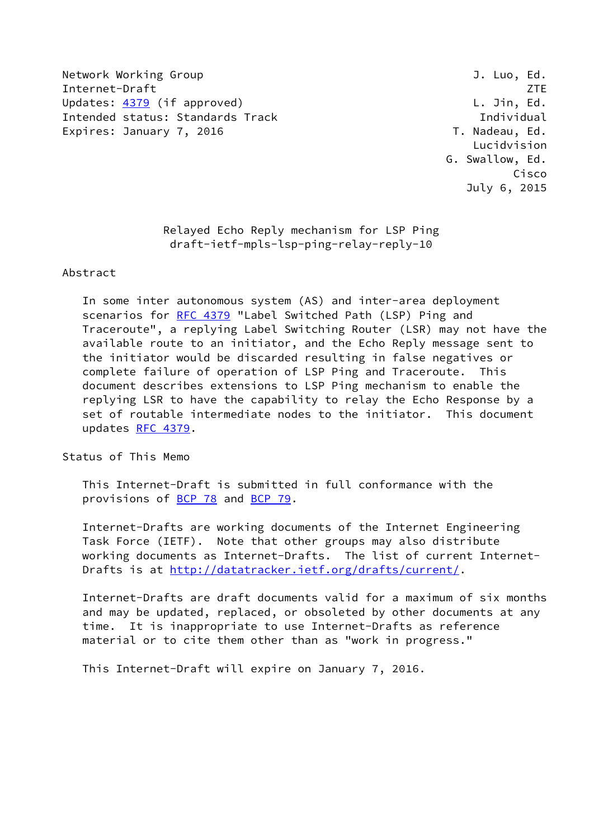Network Working Group and the state of the U.S. Contract of the U.S. Co. Ed. Internet-Draft ZTE Updates: [4379](https://datatracker.ietf.org/doc/pdf/rfc4379) (if approved) and the control of the United States: 4379 (if approved) Intended status: Standards Track Individual Expires: January 7, 2016 **T. Route 1, 2016** T. Nadeau, Ed.

 Lucidvision G. Swallow, Ed. Cisco July 6, 2015

> Relayed Echo Reply mechanism for LSP Ping draft-ietf-mpls-lsp-ping-relay-reply-10

#### Abstract

 In some inter autonomous system (AS) and inter-area deployment scenarios for [RFC 4379](https://datatracker.ietf.org/doc/pdf/rfc4379) "Label Switched Path (LSP) Ping and Traceroute", a replying Label Switching Router (LSR) may not have the available route to an initiator, and the Echo Reply message sent to the initiator would be discarded resulting in false negatives or complete failure of operation of LSP Ping and Traceroute. This document describes extensions to LSP Ping mechanism to enable the replying LSR to have the capability to relay the Echo Response by a set of routable intermediate nodes to the initiator. This document updates [RFC 4379](https://datatracker.ietf.org/doc/pdf/rfc4379).

Status of This Memo

 This Internet-Draft is submitted in full conformance with the provisions of [BCP 78](https://datatracker.ietf.org/doc/pdf/bcp78) and [BCP 79](https://datatracker.ietf.org/doc/pdf/bcp79).

 Internet-Drafts are working documents of the Internet Engineering Task Force (IETF). Note that other groups may also distribute working documents as Internet-Drafts. The list of current Internet- Drafts is at<http://datatracker.ietf.org/drafts/current/>.

 Internet-Drafts are draft documents valid for a maximum of six months and may be updated, replaced, or obsoleted by other documents at any time. It is inappropriate to use Internet-Drafts as reference material or to cite them other than as "work in progress."

This Internet-Draft will expire on January 7, 2016.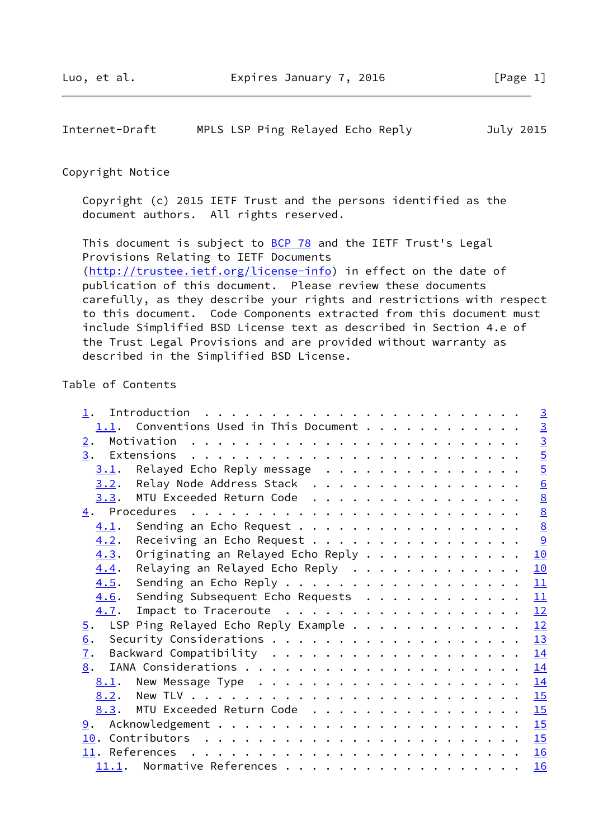Internet-Draft MPLS LSP Ping Relayed Echo Reply July 2015

### Copyright Notice

 Copyright (c) 2015 IETF Trust and the persons identified as the document authors. All rights reserved.

This document is subject to **[BCP 78](https://datatracker.ietf.org/doc/pdf/bcp78)** and the IETF Trust's Legal Provisions Relating to IETF Documents [\(http://trustee.ietf.org/license-info](http://trustee.ietf.org/license-info)) in effect on the date of publication of this document. Please review these documents carefully, as they describe your rights and restrictions with respect to this document. Code Components extracted from this document must include Simplified BSD License text as described in Section 4.e of the Trust Legal Provisions and are provided without warranty as described in the Simplified BSD License.

# Table of Contents

|                                                                            | $\overline{3}$  |
|----------------------------------------------------------------------------|-----------------|
| $1.1.$ Conventions Used in This Document                                   |                 |
| $\overline{2}$ .                                                           | $\frac{3}{5}$   |
| 3.<br>Extensions $\ldots \ldots \ldots \ldots \ldots \ldots \ldots \ldots$ |                 |
| Relayed Echo Reply message<br>3.1.                                         | $\overline{5}$  |
| Relay Node Address Stack<br>3.2.                                           | $\underline{6}$ |
| MTU Exceeded Return Code<br>3.3.                                           | $\underline{8}$ |
| 4. Procedures                                                              | $\underline{8}$ |
| Sending an Echo Request<br>4.1.                                            | $\underline{8}$ |
| Receiving an Echo Request<br>4.2.                                          |                 |
| Originating an Relayed Echo Reply<br>4.3.                                  | 10              |
| Relaying an Relayed Echo Reply<br>4.4.                                     | 10              |
| 4.5.                                                                       | 11              |
| Sending Subsequent Echo Requests<br>4.6.                                   | 11              |
| Impact to Traceroute<br>4.7.                                               | 12              |
| LSP Ping Relayed Echo Reply Example<br>5.                                  | 12              |
| 6.                                                                         | 13              |
| $\overline{1}$ .                                                           | 14              |
| 8.                                                                         | 14              |
| 8.1.                                                                       | <u>14</u>       |
| 8.2.                                                                       | 15              |
| 8.3. MTU Exceeded Return Code                                              | 15              |
|                                                                            |                 |
|                                                                            | 15              |
|                                                                            | 16              |
| 11.1. Normative References                                                 | 16              |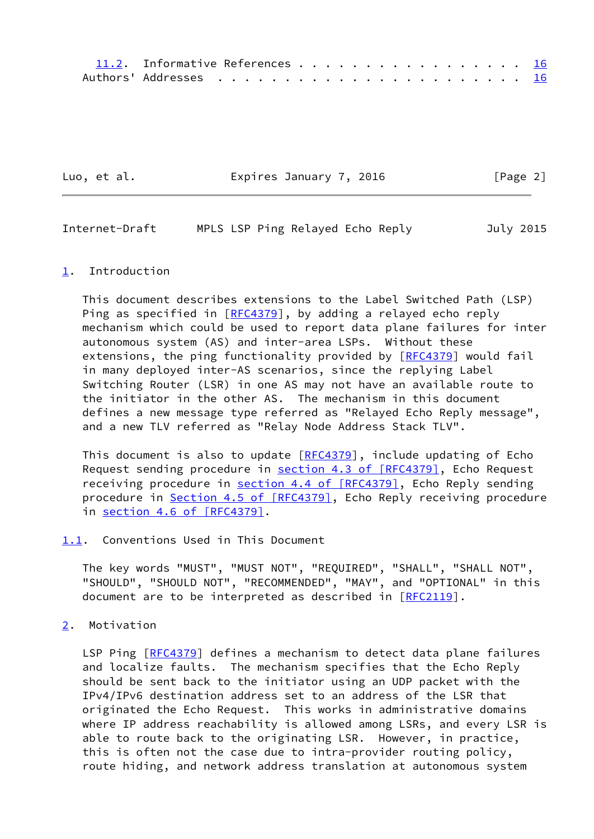| 11.2. Informative References 16 |  |  |  |  |  |  |  |  |
|---------------------------------|--|--|--|--|--|--|--|--|
|                                 |  |  |  |  |  |  |  |  |

Luo, et al. **Expires January 7, 2016** [Page 2]

<span id="page-2-1"></span>Internet-Draft MPLS LSP Ping Relayed Echo Reply July 2015

## <span id="page-2-0"></span>[1](#page-2-0). Introduction

 This document describes extensions to the Label Switched Path (LSP) Ping as specified in [\[RFC4379](https://datatracker.ietf.org/doc/pdf/rfc4379)], by adding a relayed echo reply mechanism which could be used to report data plane failures for inter autonomous system (AS) and inter-area LSPs. Without these extensions, the ping functionality provided by [\[RFC4379](https://datatracker.ietf.org/doc/pdf/rfc4379)] would fail in many deployed inter-AS scenarios, since the replying Label Switching Router (LSR) in one AS may not have an available route to the initiator in the other AS. The mechanism in this document defines a new message type referred as "Relayed Echo Reply message", and a new TLV referred as "Relay Node Address Stack TLV".

This document is also to update [\[RFC4379](https://datatracker.ietf.org/doc/pdf/rfc4379)], include updating of Echo Request sending procedure in section [4.3 of \[RFC4379\]](https://datatracker.ietf.org/doc/pdf/rfc4379#section-4.3), Echo Request receiving procedure in section [4.4 of \[RFC4379\],](https://datatracker.ietf.org/doc/pdf/rfc4379#section-4.4) Echo Reply sending procedure in Section [4.5 of \[RFC4379\]](https://datatracker.ietf.org/doc/pdf/rfc4379#section-4.5), Echo Reply receiving procedure in section [4.6 of \[RFC4379\].](https://datatracker.ietf.org/doc/pdf/rfc4379#section-4.6)

## <span id="page-2-2"></span>[1.1](#page-2-2). Conventions Used in This Document

 The key words "MUST", "MUST NOT", "REQUIRED", "SHALL", "SHALL NOT", "SHOULD", "SHOULD NOT", "RECOMMENDED", "MAY", and "OPTIONAL" in this document are to be interpreted as described in [\[RFC2119](https://datatracker.ietf.org/doc/pdf/rfc2119)].

<span id="page-2-3"></span>[2](#page-2-3). Motivation

LSP Ping [\[RFC4379](https://datatracker.ietf.org/doc/pdf/rfc4379)] defines a mechanism to detect data plane failures and localize faults. The mechanism specifies that the Echo Reply should be sent back to the initiator using an UDP packet with the IPv4/IPv6 destination address set to an address of the LSR that originated the Echo Request. This works in administrative domains where IP address reachability is allowed among LSRs, and every LSR is able to route back to the originating LSR. However, in practice, this is often not the case due to intra-provider routing policy, route hiding, and network address translation at autonomous system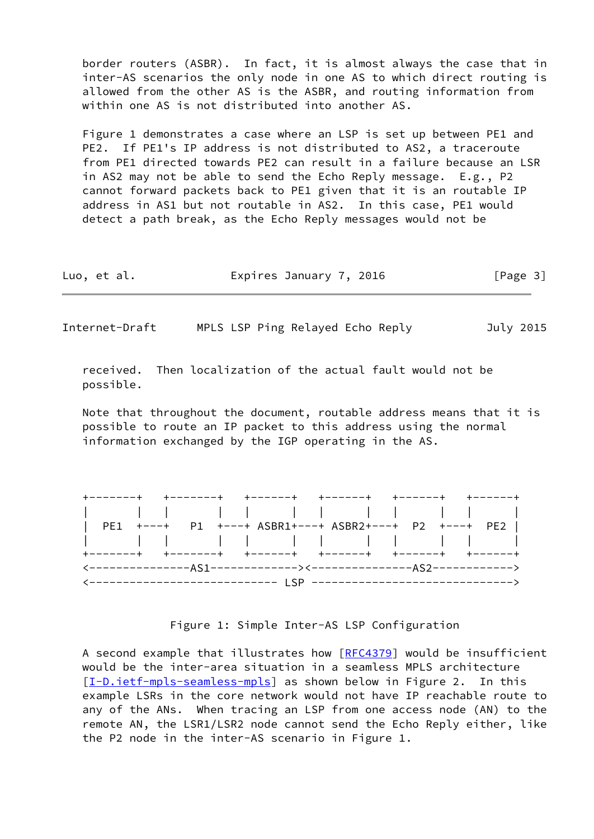border routers (ASBR). In fact, it is almost always the case that in inter-AS scenarios the only node in one AS to which direct routing is allowed from the other AS is the ASBR, and routing information from within one AS is not distributed into another AS.

 Figure 1 demonstrates a case where an LSP is set up between PE1 and PE2. If PE1's IP address is not distributed to AS2, a traceroute from PE1 directed towards PE2 can result in a failure because an LSR in AS2 may not be able to send the Echo Reply message. E.g., P2 cannot forward packets back to PE1 given that it is an routable IP address in AS1 but not routable in AS2. In this case, PE1 would detect a path break, as the Echo Reply messages would not be

Luo, et al. Expires January 7, 2016 [Page 3]

Internet-Draft MPLS LSP Ping Relayed Echo Reply July 2015

 received. Then localization of the actual fault would not be possible.

 Note that throughout the document, routable address means that it is possible to route an IP packet to this address using the normal information exchanged by the IGP operating in the AS.



Figure 1: Simple Inter-AS LSP Configuration

 A second example that illustrates how [[RFC4379](https://datatracker.ietf.org/doc/pdf/rfc4379)] would be insufficient would be the inter-area situation in a seamless MPLS architecture [\[I-D.ietf-mpls-seamless-mpls](#page-17-4)] as shown below in Figure 2. In this example LSRs in the core network would not have IP reachable route to any of the ANs. When tracing an LSP from one access node (AN) to the remote AN, the LSR1/LSR2 node cannot send the Echo Reply either, like the P2 node in the inter-AS scenario in Figure 1.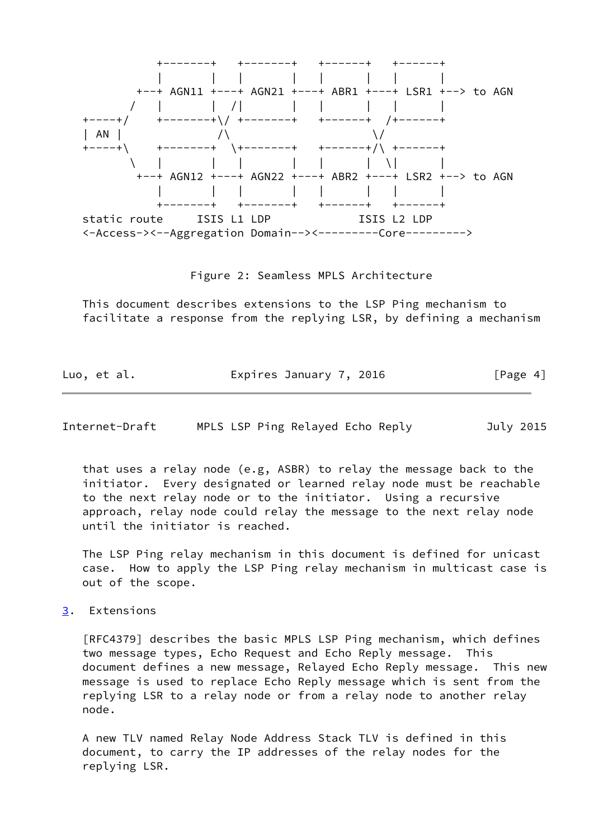

Figure 2: Seamless MPLS Architecture

 This document describes extensions to the LSP Ping mechanism to facilitate a response from the replying LSR, by defining a mechanism

| Luo, et al. | Expires January 7, 2016 | [Page 4] |
|-------------|-------------------------|----------|

<span id="page-4-1"></span>Internet-Draft MPLS LSP Ping Relayed Echo Reply July 2015

 that uses a relay node (e.g, ASBR) to relay the message back to the initiator. Every designated or learned relay node must be reachable to the next relay node or to the initiator. Using a recursive approach, relay node could relay the message to the next relay node until the initiator is reached.

 The LSP Ping relay mechanism in this document is defined for unicast case. How to apply the LSP Ping relay mechanism in multicast case is out of the scope.

<span id="page-4-0"></span>[3](#page-4-0). Extensions

 [RFC4379] describes the basic MPLS LSP Ping mechanism, which defines two message types, Echo Request and Echo Reply message. This document defines a new message, Relayed Echo Reply message. This new message is used to replace Echo Reply message which is sent from the replying LSR to a relay node or from a relay node to another relay node.

 A new TLV named Relay Node Address Stack TLV is defined in this document, to carry the IP addresses of the relay nodes for the replying LSR.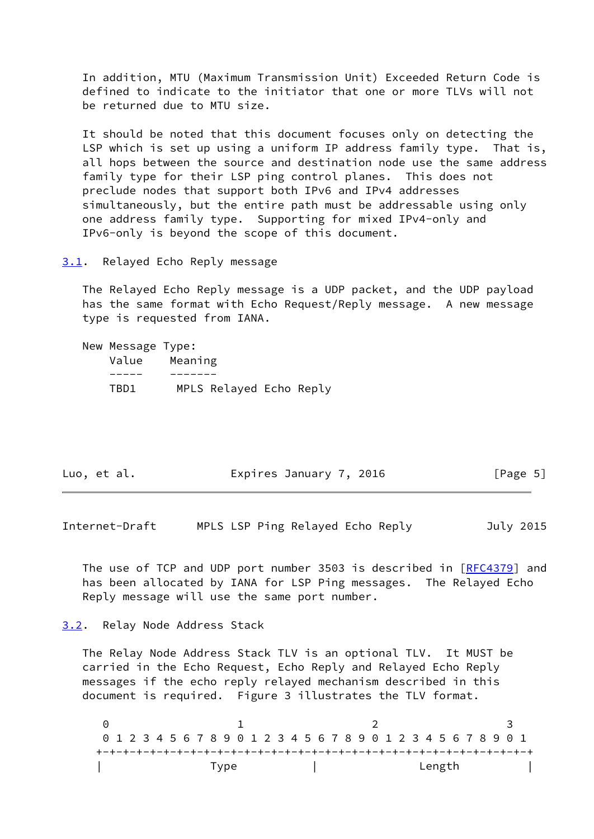In addition, MTU (Maximum Transmission Unit) Exceeded Return Code is defined to indicate to the initiator that one or more TLVs will not be returned due to MTU size.

 It should be noted that this document focuses only on detecting the LSP which is set up using a uniform IP address family type. That is, all hops between the source and destination node use the same address family type for their LSP ping control planes. This does not preclude nodes that support both IPv6 and IPv4 addresses simultaneously, but the entire path must be addressable using only one address family type. Supporting for mixed IPv4-only and IPv6-only is beyond the scope of this document.

<span id="page-5-0"></span>[3.1](#page-5-0). Relayed Echo Reply message

 The Relayed Echo Reply message is a UDP packet, and the UDP payload has the same format with Echo Request/Reply message. A new message type is requested from IANA.

 New Message Type: Value Meaning ----- ------- TBD1 MPLS Relayed Echo Reply

| Luo, et al. | Expires January 7, 2016 | [Page 5] |
|-------------|-------------------------|----------|
|-------------|-------------------------|----------|

<span id="page-5-2"></span>Internet-Draft MPLS LSP Ping Relayed Echo Reply July 2015

The use of TCP and UDP port number 3503 is described in [\[RFC4379](https://datatracker.ietf.org/doc/pdf/rfc4379)] and has been allocated by IANA for LSP Ping messages. The Relayed Echo Reply message will use the same port number.

<span id="page-5-1"></span>[3.2](#page-5-1). Relay Node Address Stack

 The Relay Node Address Stack TLV is an optional TLV. It MUST be carried in the Echo Request, Echo Reply and Relayed Echo Reply messages if the echo reply relayed mechanism described in this document is required. Figure 3 illustrates the TLV format.

| 0 1 2 3 4 5 6 7 8 9 0 1 2 3 4 5 6 7 8 9 0 1 2 3 4 5 6 7 8 9 0 1 |  |  |  |      |  |  |  |  |  |  |  |  |        |  |  |  |
|-----------------------------------------------------------------|--|--|--|------|--|--|--|--|--|--|--|--|--------|--|--|--|
|                                                                 |  |  |  |      |  |  |  |  |  |  |  |  |        |  |  |  |
|                                                                 |  |  |  | Tvpe |  |  |  |  |  |  |  |  | Length |  |  |  |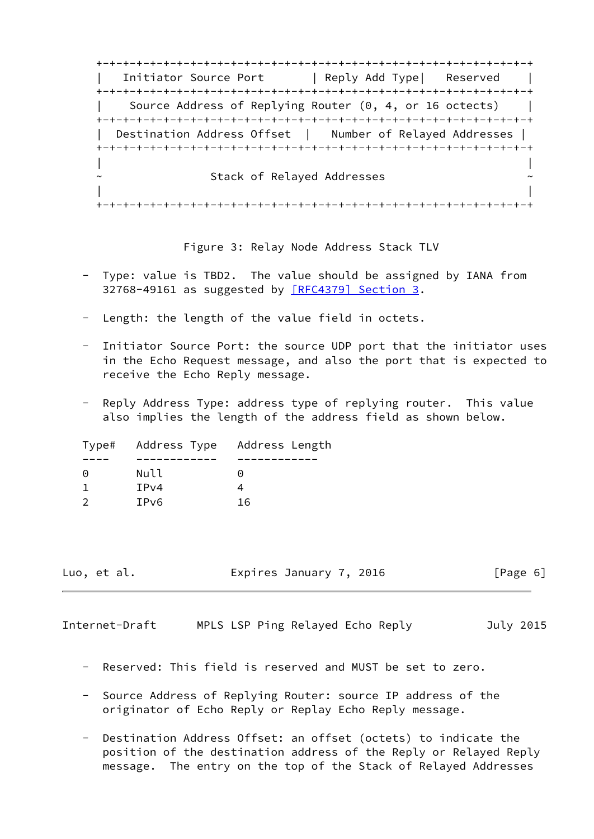+-+-+-+-+-+-+-+-+-+-+-+-+-+-+-+-+-+-+-+-+-+-+-+-+-+-+-+-+-+-+-+-+ Initiator Source Port | Reply Add Type| Reserved | +-+-+-+-+-+-+-+-+-+-+-+-+-+-+-+-+-+-+-+-+-+-+-+-+-+-+-+-+-+-+-+-+ Source Address of Replying Router (0, 4, or 16 octects) | +-+-+-+-+-+-+-+-+-+-+-+-+-+-+-+-+-+-+-+-+-+-+-+-+-+-+-+-+-+-+-+-+ Destination Address Offset | Number of Relayed Addresses | +-+-+-+-+-+-+-+-+-+-+-+-+-+-+-+-+-+-+-+-+-+-+-+-+-+-+-+-+-+-+-+-+ | | Stack of Relayed Addresses | | +-+-+-+-+-+-+-+-+-+-+-+-+-+-+-+-+-+-+-+-+-+-+-+-+-+-+-+-+-+-+-+-+

Figure 3: Relay Node Address Stack TLV

- Type: value is TBD2. The value should be assigned by IANA from 32768-49161 as suggested by [\[RFC4379\] Section](https://datatracker.ietf.org/doc/pdf/rfc4379#section-3) 3.
- Length: the length of the value field in octets.
- Initiator Source Port: the source UDP port that the initiator uses in the Echo Request message, and also the port that is expected to receive the Echo Reply message.
- Reply Address Type: address type of replying router. This value also implies the length of the address field as shown below.

|   |       | Type# Address Type Address Length |
|---|-------|-----------------------------------|
|   |       |                                   |
| 0 | Null. | ∩                                 |
|   | IPv4  |                                   |
|   | IPv6  | 16                                |

| Luo, et al. | Expires January 7, 2016 | [Page 6] |
|-------------|-------------------------|----------|
|-------------|-------------------------|----------|

Internet-Draft MPLS LSP Ping Relayed Echo Reply July 2015

- Reserved: This field is reserved and MUST be set to zero.
- Source Address of Replying Router: source IP address of the originator of Echo Reply or Replay Echo Reply message.
- Destination Address Offset: an offset (octets) to indicate the position of the destination address of the Reply or Relayed Reply message. The entry on the top of the Stack of Relayed Addresses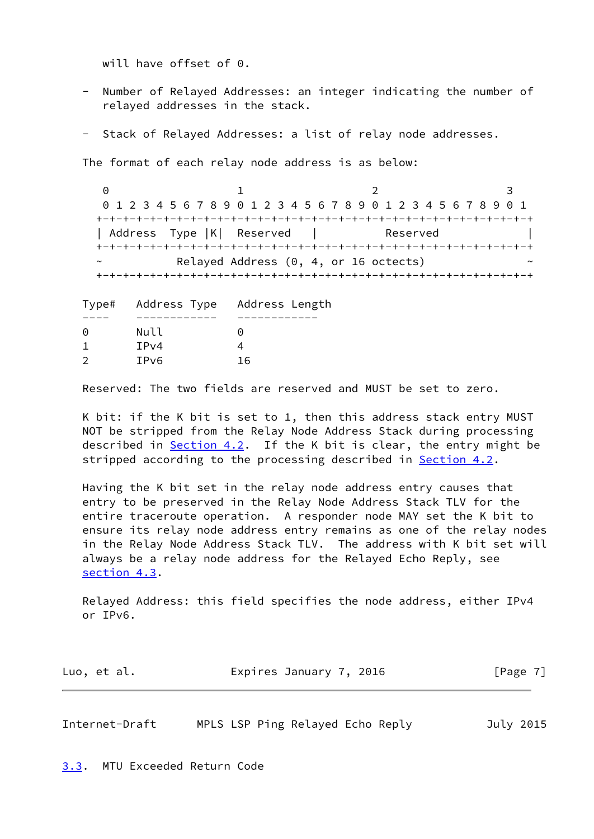will have offset of 0.

- Number of Relayed Addresses: an integer indicating the number of relayed addresses in the stack.
- Stack of Relayed Addresses: a list of relay node addresses.

The format of each relay node address is as below:

0 1 2 3 0 1 2 3 4 5 6 7 8 9 0 1 2 3 4 5 6 7 8 9 0 1 2 3 4 5 6 7 8 9 0 1 +-+-+-+-+-+-+-+-+-+-+-+-+-+-+-+-+-+-+-+-+-+-+-+-+-+-+-+-+-+-+-+-+ | Address Type |K| Reserved | Reserved | +-+-+-+-+-+-+-+-+-+-+-+-+-+-+-+-+-+-+-+-+-+-+-+-+-+-+-+-+-+-+-+-+  $Relayed Address (0, 4, or 16 octects)$ +-+-+-+-+-+-+-+-+-+-+-+-+-+-+-+-+-+-+-+-+-+-+-+-+-+-+-+-+-+-+-+-+

|   |      | Type# Address Type Address Length |
|---|------|-----------------------------------|
|   |      |                                   |
| 0 | Null | $(\cdot)$                         |
|   | IPv4 |                                   |
|   | IPv6 | 16                                |
|   |      |                                   |

Reserved: The two fields are reserved and MUST be set to zero.

 K bit: if the K bit is set to 1, then this address stack entry MUST NOT be stripped from the Relay Node Address Stack during processing described in [Section 4.2](#page-9-0). If the K bit is clear, the entry might be stripped according to the processing described in [Section 4.2](#page-9-0).

 Having the K bit set in the relay node address entry causes that entry to be preserved in the Relay Node Address Stack TLV for the entire traceroute operation. A responder node MAY set the K bit to ensure its relay node address entry remains as one of the relay nodes in the Relay Node Address Stack TLV. The address with K bit set will always be a relay node address for the Relayed Echo Reply, see [section 4.3](#page-10-0).

 Relayed Address: this field specifies the node address, either IPv4 or IPv6.

| Luo, et al. | Expires January 7, 2016 | [Page 7] |
|-------------|-------------------------|----------|
|-------------|-------------------------|----------|

<span id="page-7-1"></span>Internet-Draft MPLS LSP Ping Relayed Echo Reply July 2015

<span id="page-7-0"></span>[3.3](#page-7-0). MTU Exceeded Return Code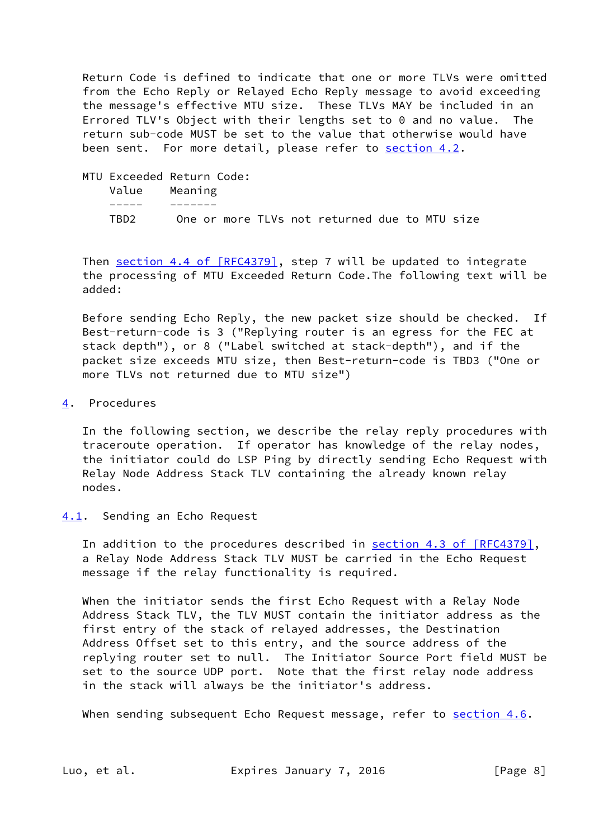Return Code is defined to indicate that one or more TLVs were omitted from the Echo Reply or Relayed Echo Reply message to avoid exceeding the message's effective MTU size. These TLVs MAY be included in an Errored TLV's Object with their lengths set to 0 and no value. The return sub-code MUST be set to the value that otherwise would have been sent. For more detail, please refer to [section 4.2](#page-9-0).

 MTU Exceeded Return Code: Value Meaning ----- ------- TBD2 One or more TLVs not returned due to MTU size

Then section [4.4 of \[RFC4379\]](https://datatracker.ietf.org/doc/pdf/rfc4379#section-4.4), step 7 will be updated to integrate the processing of MTU Exceeded Return Code.The following text will be added:

 Before sending Echo Reply, the new packet size should be checked. If Best-return-code is 3 ("Replying router is an egress for the FEC at stack depth"), or 8 ("Label switched at stack-depth"), and if the packet size exceeds MTU size, then Best-return-code is TBD3 ("One or more TLVs not returned due to MTU size")

<span id="page-8-0"></span>[4](#page-8-0). Procedures

 In the following section, we describe the relay reply procedures with traceroute operation. If operator has knowledge of the relay nodes, the initiator could do LSP Ping by directly sending Echo Request with Relay Node Address Stack TLV containing the already known relay nodes.

<span id="page-8-1"></span>[4.1](#page-8-1). Sending an Echo Request

 In addition to the procedures described in section [4.3 of \[RFC4379\],](https://datatracker.ietf.org/doc/pdf/rfc4379#section-4.3) a Relay Node Address Stack TLV MUST be carried in the Echo Request message if the relay functionality is required.

 When the initiator sends the first Echo Request with a Relay Node Address Stack TLV, the TLV MUST contain the initiator address as the first entry of the stack of relayed addresses, the Destination Address Offset set to this entry, and the source address of the replying router set to null. The Initiator Source Port field MUST be set to the source UDP port. Note that the first relay node address in the stack will always be the initiator's address.

When sending subsequent Echo Request message, refer to [section 4.6](#page-12-0).

Luo, et al. Expires January 7, 2016 [Page 8]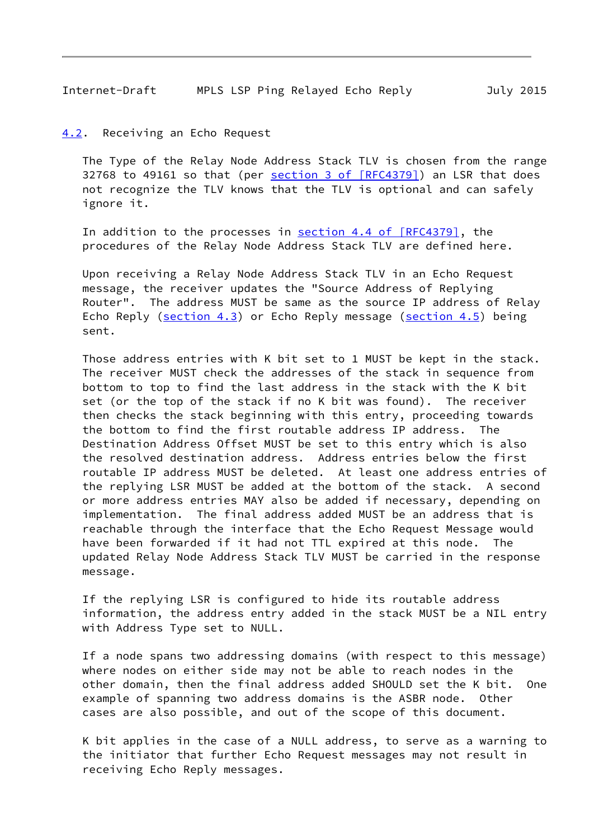#### <span id="page-9-1"></span><span id="page-9-0"></span>[4.2](#page-9-0). Receiving an Echo Request

 The Type of the Relay Node Address Stack TLV is chosen from the range 32768 to 49161 so that (per section [3 of \[RFC4379\]](https://datatracker.ietf.org/doc/pdf/rfc4379#section-3)) an LSR that does not recognize the TLV knows that the TLV is optional and can safely ignore it.

 In addition to the processes in section [4.4 of \[RFC4379\]](https://datatracker.ietf.org/doc/pdf/rfc4379#section-4.4), the procedures of the Relay Node Address Stack TLV are defined here.

 Upon receiving a Relay Node Address Stack TLV in an Echo Request message, the receiver updates the "Source Address of Replying Router". The address MUST be same as the source IP address of Relay Echo Reply ([section 4.3\)](#page-10-0) or Echo Reply message [\(section 4.5](#page-11-0)) being sent.

 Those address entries with K bit set to 1 MUST be kept in the stack. The receiver MUST check the addresses of the stack in sequence from bottom to top to find the last address in the stack with the K bit set (or the top of the stack if no K bit was found). The receiver then checks the stack beginning with this entry, proceeding towards the bottom to find the first routable address IP address. The Destination Address Offset MUST be set to this entry which is also the resolved destination address. Address entries below the first routable IP address MUST be deleted. At least one address entries of the replying LSR MUST be added at the bottom of the stack. A second or more address entries MAY also be added if necessary, depending on implementation. The final address added MUST be an address that is reachable through the interface that the Echo Request Message would have been forwarded if it had not TTL expired at this node. The updated Relay Node Address Stack TLV MUST be carried in the response message.

 If the replying LSR is configured to hide its routable address information, the address entry added in the stack MUST be a NIL entry with Address Type set to NULL.

 If a node spans two addressing domains (with respect to this message) where nodes on either side may not be able to reach nodes in the other domain, then the final address added SHOULD set the K bit. One example of spanning two address domains is the ASBR node. Other cases are also possible, and out of the scope of this document.

 K bit applies in the case of a NULL address, to serve as a warning to the initiator that further Echo Request messages may not result in receiving Echo Reply messages.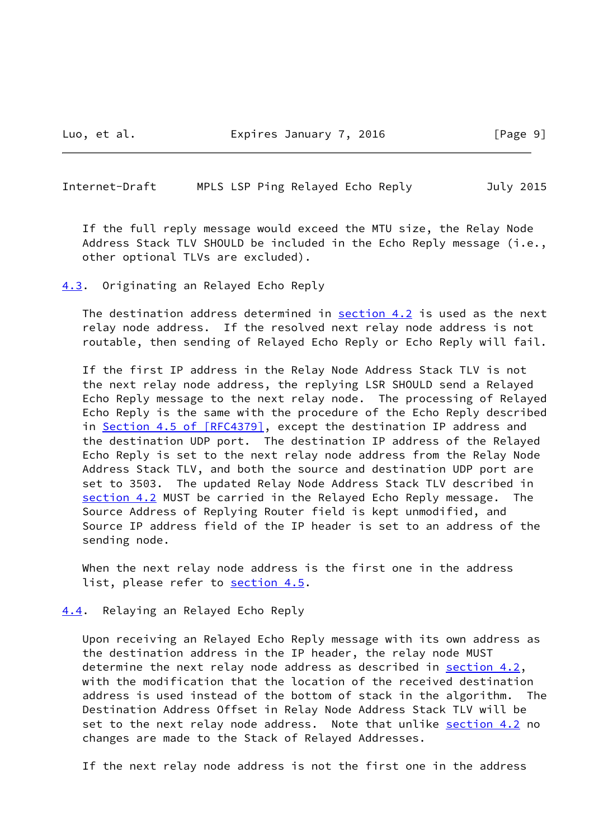Luo, et al. **Expires January 7, 2016** [Page 9]

<span id="page-10-1"></span>Internet-Draft MPLS LSP Ping Relayed Echo Reply July 2015

 If the full reply message would exceed the MTU size, the Relay Node Address Stack TLV SHOULD be included in the Echo Reply message (i.e., other optional TLVs are excluded).

<span id="page-10-0"></span>[4.3](#page-10-0). Originating an Relayed Echo Reply

The destination address determined in [section 4.2](#page-9-0) is used as the next relay node address. If the resolved next relay node address is not routable, then sending of Relayed Echo Reply or Echo Reply will fail.

 If the first IP address in the Relay Node Address Stack TLV is not the next relay node address, the replying LSR SHOULD send a Relayed Echo Reply message to the next relay node. The processing of Relayed Echo Reply is the same with the procedure of the Echo Reply described in Section [4.5 of \[RFC4379\],](https://datatracker.ietf.org/doc/pdf/rfc4379#section-4.5) except the destination IP address and the destination UDP port. The destination IP address of the Relayed Echo Reply is set to the next relay node address from the Relay Node Address Stack TLV, and both the source and destination UDP port are set to 3503. The updated Relay Node Address Stack TLV described in [section 4.2](#page-9-0) MUST be carried in the Relayed Echo Reply message. The Source Address of Replying Router field is kept unmodified, and Source IP address field of the IP header is set to an address of the sending node.

When the next relay node address is the first one in the address list, please refer to [section 4.5](#page-11-0).

<span id="page-10-2"></span>[4.4](#page-10-2). Relaying an Relayed Echo Reply

 Upon receiving an Relayed Echo Reply message with its own address as the destination address in the IP header, the relay node MUST determine the next relay node address as described in [section 4.2](#page-9-0), with the modification that the location of the received destination address is used instead of the bottom of stack in the algorithm. The Destination Address Offset in Relay Node Address Stack TLV will be set to the next relay node address. Note that unlike [section 4.2](#page-9-0) no changes are made to the Stack of Relayed Addresses.

If the next relay node address is not the first one in the address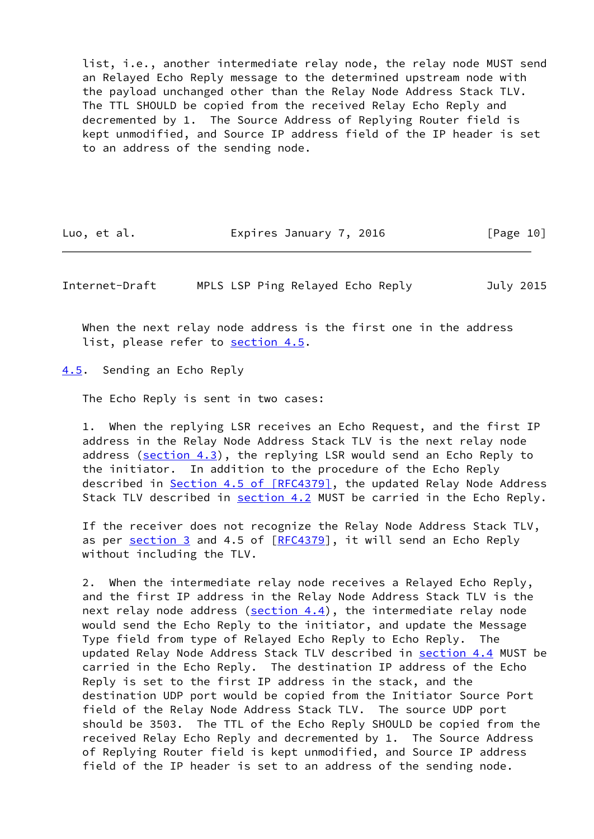list, i.e., another intermediate relay node, the relay node MUST send an Relayed Echo Reply message to the determined upstream node with the payload unchanged other than the Relay Node Address Stack TLV. The TTL SHOULD be copied from the received Relay Echo Reply and decremented by 1. The Source Address of Replying Router field is kept unmodified, and Source IP address field of the IP header is set to an address of the sending node.

| Luo, et al. | Expires January 7, 2016 | [Page 10] |
|-------------|-------------------------|-----------|
|-------------|-------------------------|-----------|

<span id="page-11-1"></span>Internet-Draft MPLS LSP Ping Relayed Echo Reply July 2015

When the next relay node address is the first one in the address list, please refer to [section 4.5](#page-11-0).

<span id="page-11-0"></span>[4.5](#page-11-0). Sending an Echo Reply

The Echo Reply is sent in two cases:

 1. When the replying LSR receives an Echo Request, and the first IP address in the Relay Node Address Stack TLV is the next relay node address ( $section 4.3$ ), the replying LSR would send an Echo Reply to the initiator. In addition to the procedure of the Echo Reply described in Section [4.5 of \[RFC4379\]](https://datatracker.ietf.org/doc/pdf/rfc4379#section-4.5), the updated Relay Node Address Stack TLV described in [section 4.2](#page-9-0) MUST be carried in the Echo Reply.

 If the receiver does not recognize the Relay Node Address Stack TLV, as per [section 3](#page-4-0) and 4.5 of [\[RFC4379](https://datatracker.ietf.org/doc/pdf/rfc4379)], it will send an Echo Reply without including the TLV.

 2. When the intermediate relay node receives a Relayed Echo Reply, and the first IP address in the Relay Node Address Stack TLV is the next relay node address ( $section 4.4$ ), the intermediate relay node would send the Echo Reply to the initiator, and update the Message Type field from type of Relayed Echo Reply to Echo Reply. The updated Relay Node Address Stack TLV described in [section 4.4](#page-10-2) MUST be carried in the Echo Reply. The destination IP address of the Echo Reply is set to the first IP address in the stack, and the destination UDP port would be copied from the Initiator Source Port field of the Relay Node Address Stack TLV. The source UDP port should be 3503. The TTL of the Echo Reply SHOULD be copied from the received Relay Echo Reply and decremented by 1. The Source Address of Replying Router field is kept unmodified, and Source IP address field of the IP header is set to an address of the sending node.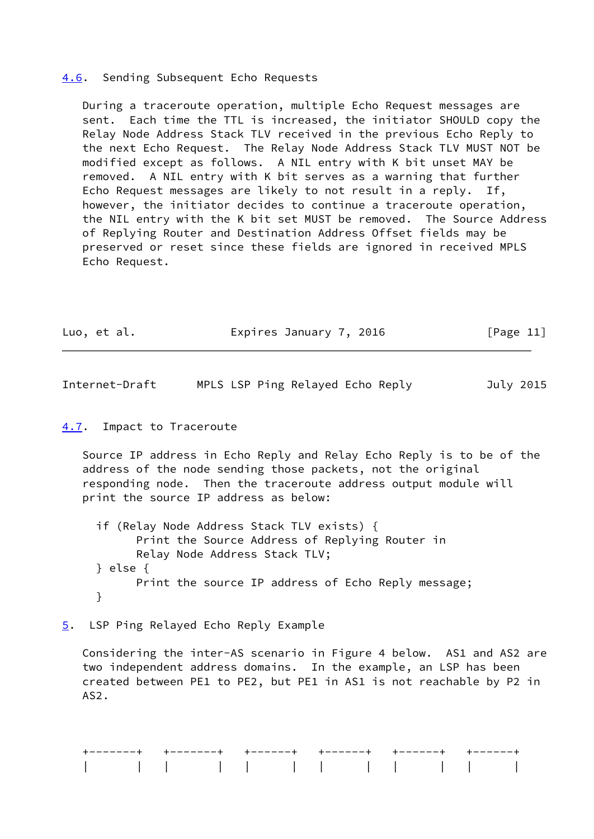#### <span id="page-12-0"></span>[4.6](#page-12-0). Sending Subsequent Echo Requests

 During a traceroute operation, multiple Echo Request messages are sent. Each time the TTL is increased, the initiator SHOULD copy the Relay Node Address Stack TLV received in the previous Echo Reply to the next Echo Request. The Relay Node Address Stack TLV MUST NOT be modified except as follows. A NIL entry with K bit unset MAY be removed. A NIL entry with K bit serves as a warning that further Echo Request messages are likely to not result in a reply. If, however, the initiator decides to continue a traceroute operation, the NIL entry with the K bit set MUST be removed. The Source Address of Replying Router and Destination Address Offset fields may be preserved or reset since these fields are ignored in received MPLS Echo Request.

| Luo, et al. | Expires January 7, 2016 | [Page 11] |
|-------------|-------------------------|-----------|
|             |                         |           |

<span id="page-12-2"></span>Internet-Draft MPLS LSP Ping Relayed Echo Reply July 2015

#### <span id="page-12-1"></span>[4.7](#page-12-1). Impact to Traceroute

 Source IP address in Echo Reply and Relay Echo Reply is to be of the address of the node sending those packets, not the original responding node. Then the traceroute address output module will print the source IP address as below:

 if (Relay Node Address Stack TLV exists) { Print the Source Address of Replying Router in Relay Node Address Stack TLV; } else { Print the source IP address of Echo Reply message; }

<span id="page-12-3"></span>[5](#page-12-3). LSP Ping Relayed Echo Reply Example

 Considering the inter-AS scenario in Figure 4 below. AS1 and AS2 are two independent address domains. In the example, an LSP has been created between PE1 to PE2, but PE1 in AS1 is not reachable by P2 in AS2.

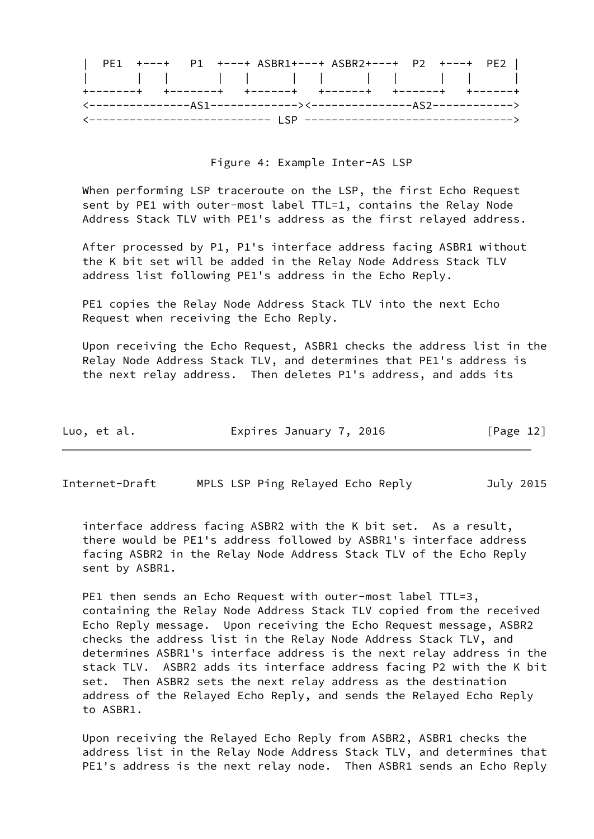|  |  |  | PE1 +---+ P1 +---+ ASBR1+---+ ASBR2+---+ P2 +---+ PE2                |  |  |  |  |
|--|--|--|----------------------------------------------------------------------|--|--|--|--|
|  |  |  |                                                                      |  |  |  |  |
|  |  |  |                                                                      |  |  |  |  |
|  |  |  | <----------------AS1------------><-------------------AS2-----------> |  |  |  |  |
|  |  |  |                                                                      |  |  |  |  |

Figure 4: Example Inter-AS LSP

 When performing LSP traceroute on the LSP, the first Echo Request sent by PE1 with outer-most label TTL=1, contains the Relay Node Address Stack TLV with PE1's address as the first relayed address.

 After processed by P1, P1's interface address facing ASBR1 without the K bit set will be added in the Relay Node Address Stack TLV address list following PE1's address in the Echo Reply.

 PE1 copies the Relay Node Address Stack TLV into the next Echo Request when receiving the Echo Reply.

 Upon receiving the Echo Request, ASBR1 checks the address list in the Relay Node Address Stack TLV, and determines that PE1's address is the next relay address. Then deletes P1's address, and adds its

| Luo, et al. | Expires January 7, 2016 | [Page 12] |
|-------------|-------------------------|-----------|
|             |                         |           |

<span id="page-13-0"></span>Internet-Draft MPLS LSP Ping Relayed Echo Reply July 2015

 interface address facing ASBR2 with the K bit set. As a result, there would be PE1's address followed by ASBR1's interface address facing ASBR2 in the Relay Node Address Stack TLV of the Echo Reply sent by ASBR1.

PE1 then sends an Echo Request with outer-most label TTL=3, containing the Relay Node Address Stack TLV copied from the received Echo Reply message. Upon receiving the Echo Request message, ASBR2 checks the address list in the Relay Node Address Stack TLV, and determines ASBR1's interface address is the next relay address in the stack TLV. ASBR2 adds its interface address facing P2 with the K bit set. Then ASBR2 sets the next relay address as the destination address of the Relayed Echo Reply, and sends the Relayed Echo Reply to ASBR1.

 Upon receiving the Relayed Echo Reply from ASBR2, ASBR1 checks the address list in the Relay Node Address Stack TLV, and determines that PE1's address is the next relay node. Then ASBR1 sends an Echo Reply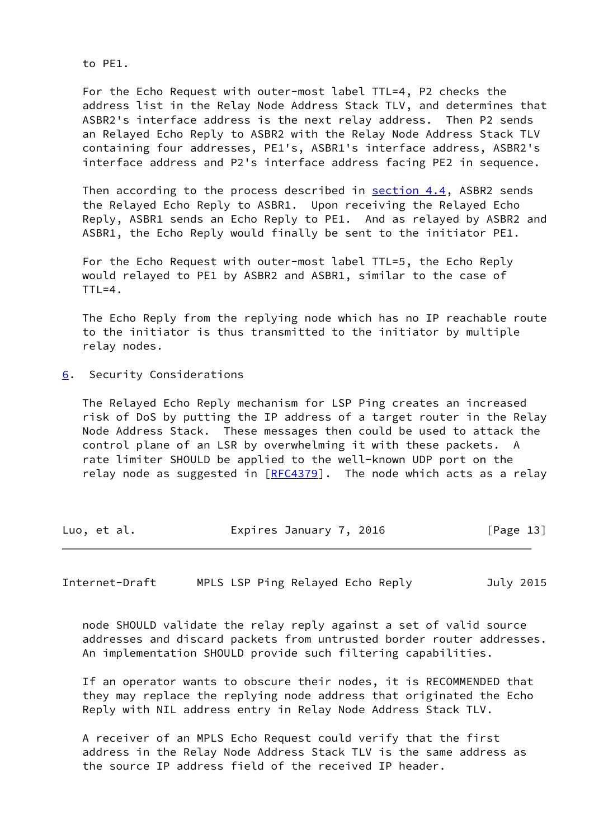to PE1.

 For the Echo Request with outer-most label TTL=4, P2 checks the address list in the Relay Node Address Stack TLV, and determines that ASBR2's interface address is the next relay address. Then P2 sends an Relayed Echo Reply to ASBR2 with the Relay Node Address Stack TLV containing four addresses, PE1's, ASBR1's interface address, ASBR2's interface address and P2's interface address facing PE2 in sequence.

Then according to the process described in [section 4.4](#page-10-2), ASBR2 sends the Relayed Echo Reply to ASBR1. Upon receiving the Relayed Echo Reply, ASBR1 sends an Echo Reply to PE1. And as relayed by ASBR2 and ASBR1, the Echo Reply would finally be sent to the initiator PE1.

 For the Echo Request with outer-most label TTL=5, the Echo Reply would relayed to PE1 by ASBR2 and ASBR1, similar to the case of  $TTL=4$ .

 The Echo Reply from the replying node which has no IP reachable route to the initiator is thus transmitted to the initiator by multiple relay nodes.

<span id="page-14-0"></span>[6](#page-14-0). Security Considerations

 The Relayed Echo Reply mechanism for LSP Ping creates an increased risk of DoS by putting the IP address of a target router in the Relay Node Address Stack. These messages then could be used to attack the control plane of an LSR by overwhelming it with these packets. A rate limiter SHOULD be applied to the well-known UDP port on the relay node as suggested in  $[REC4379]$ . The node which acts as a relay

Luo, et al. **Expires January 7, 2016** [Page 13]

<span id="page-14-1"></span>Internet-Draft MPLS LSP Ping Relayed Echo Reply July 2015

 node SHOULD validate the relay reply against a set of valid source addresses and discard packets from untrusted border router addresses. An implementation SHOULD provide such filtering capabilities.

 If an operator wants to obscure their nodes, it is RECOMMENDED that they may replace the replying node address that originated the Echo Reply with NIL address entry in Relay Node Address Stack TLV.

 A receiver of an MPLS Echo Request could verify that the first address in the Relay Node Address Stack TLV is the same address as the source IP address field of the received IP header.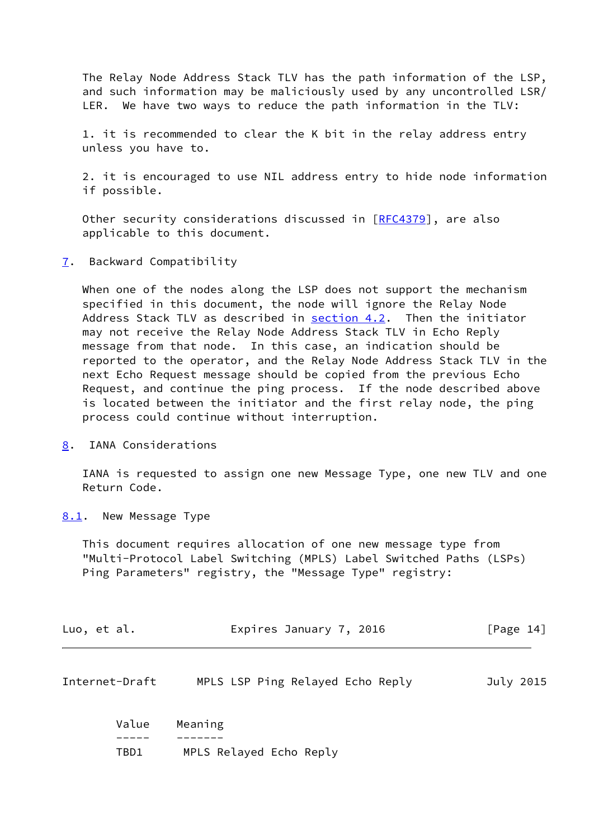The Relay Node Address Stack TLV has the path information of the LSP, and such information may be maliciously used by any uncontrolled LSR/ LER. We have two ways to reduce the path information in the TLV:

 1. it is recommended to clear the K bit in the relay address entry unless you have to.

 2. it is encouraged to use NIL address entry to hide node information if possible.

Other security considerations discussed in [[RFC4379\]](https://datatracker.ietf.org/doc/pdf/rfc4379), are also applicable to this document.

<span id="page-15-0"></span>[7](#page-15-0). Backward Compatibility

When one of the nodes along the LSP does not support the mechanism specified in this document, the node will ignore the Relay Node Address Stack TLV as described in [section 4.2](#page-9-0). Then the initiator may not receive the Relay Node Address Stack TLV in Echo Reply message from that node. In this case, an indication should be reported to the operator, and the Relay Node Address Stack TLV in the next Echo Request message should be copied from the previous Echo Request, and continue the ping process. If the node described above is located between the initiator and the first relay node, the ping process could continue without interruption.

<span id="page-15-1"></span>[8](#page-15-1). IANA Considerations

 IANA is requested to assign one new Message Type, one new TLV and one Return Code.

<span id="page-15-2"></span>[8.1](#page-15-2). New Message Type

 This document requires allocation of one new message type from "Multi-Protocol Label Switching (MPLS) Label Switched Paths (LSPs) Ping Parameters" registry, the "Message Type" registry:

| Luo, et al. | Expires January 7, 2016 | [Page 14] |
|-------------|-------------------------|-----------|
|             |                         |           |

<span id="page-15-3"></span>

| Internet-Draft |  |  |  |  | MPLS LSP Ping Relayed Echo Reply |  | July 2015 |
|----------------|--|--|--|--|----------------------------------|--|-----------|
|----------------|--|--|--|--|----------------------------------|--|-----------|

| Value | Meaning                 |
|-------|-------------------------|
|       |                         |
| TBD1  | MPLS Relayed Echo Reply |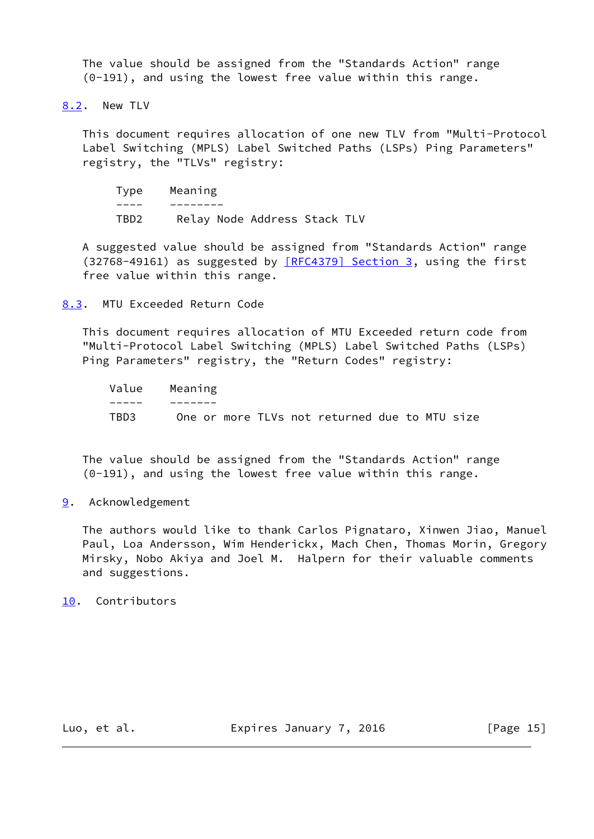The value should be assigned from the "Standards Action" range (0-191), and using the lowest free value within this range.

<span id="page-16-0"></span>[8.2](#page-16-0). New TLV

 This document requires allocation of one new TLV from "Multi-Protocol Label Switching (MPLS) Label Switched Paths (LSPs) Ping Parameters" registry, the "TLVs" registry:

Type Meaning

 $-----$ TBD2 Relay Node Address Stack TLV

 A suggested value should be assigned from "Standards Action" range (32768-49161) as suggested by [\[RFC4379\] Section](https://datatracker.ietf.org/doc/pdf/rfc4379#section-3) 3, using the first free value within this range.

<span id="page-16-1"></span>[8.3](#page-16-1). MTU Exceeded Return Code

 This document requires allocation of MTU Exceeded return code from "Multi-Protocol Label Switching (MPLS) Label Switched Paths (LSPs) Ping Parameters" registry, the "Return Codes" registry:

| Value Meaning |  |  |                                               |  |  |
|---------------|--|--|-----------------------------------------------|--|--|
|               |  |  |                                               |  |  |
| TBD3          |  |  | One or more TLVs not returned due to MTU size |  |  |

 The value should be assigned from the "Standards Action" range (0-191), and using the lowest free value within this range.

# <span id="page-16-2"></span>[9](#page-16-2). Acknowledgement

 The authors would like to thank Carlos Pignataro, Xinwen Jiao, Manuel Paul, Loa Andersson, Wim Henderickx, Mach Chen, Thomas Morin, Gregory Mirsky, Nobo Akiya and Joel M. Halpern for their valuable comments and suggestions.

<span id="page-16-3"></span>[10.](#page-16-3) Contributors

Luo, et al. Expires January 7, 2016 [Page 15]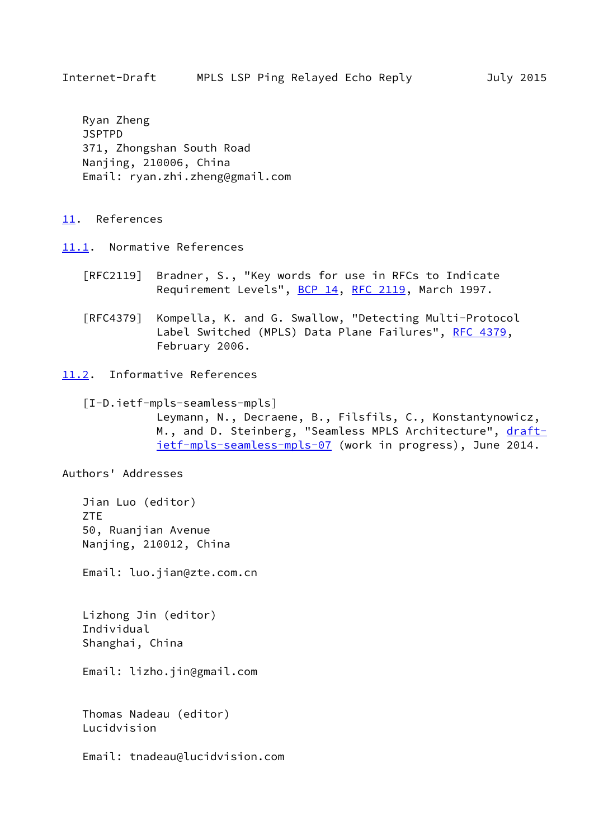<span id="page-17-1"></span> Ryan Zheng **JSPTPD**  371, Zhongshan South Road Nanjing, 210006, China Email: ryan.zhi.zheng@gmail.com

<span id="page-17-0"></span>[11.](#page-17-0) References

<span id="page-17-2"></span>[11.1](#page-17-2). Normative References

- [RFC2119] Bradner, S., "Key words for use in RFCs to Indicate Requirement Levels", [BCP 14](https://datatracker.ietf.org/doc/pdf/bcp14), [RFC 2119](https://datatracker.ietf.org/doc/pdf/rfc2119), March 1997.
- [RFC4379] Kompella, K. and G. Swallow, "Detecting Multi-Protocol Label Switched (MPLS) Data Plane Failures", [RFC 4379,](https://datatracker.ietf.org/doc/pdf/rfc4379) February 2006.

<span id="page-17-3"></span>[11.2](#page-17-3). Informative References

<span id="page-17-4"></span>[I-D.ietf-mpls-seamless-mpls]

 Leymann, N., Decraene, B., Filsfils, C., Konstantynowicz, M., and D. Steinberg, "Seamless MPLS Architecture", [draft](https://datatracker.ietf.org/doc/pdf/draft-ietf-mpls-seamless-mpls-07) [ietf-mpls-seamless-mpls-07](https://datatracker.ietf.org/doc/pdf/draft-ietf-mpls-seamless-mpls-07) (work in progress), June 2014.

Authors' Addresses

 Jian Luo (editor) ZTE 50, Ruanjian Avenue Nanjing, 210012, China

Email: luo.jian@zte.com.cn

 Lizhong Jin (editor) Individual Shanghai, China

Email: lizho.jin@gmail.com

 Thomas Nadeau (editor) Lucidvision

Email: tnadeau@lucidvision.com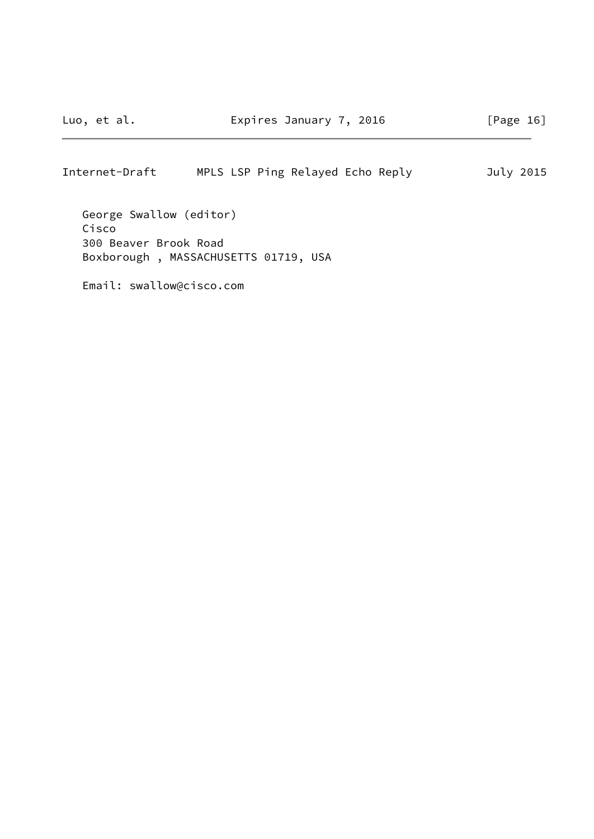# Internet-Draft MPLS LSP Ping Relayed Echo Reply July 2015

 George Swallow (editor) Cisco 300 Beaver Brook Road Boxborough , MASSACHUSETTS 01719, USA

Email: swallow@cisco.com